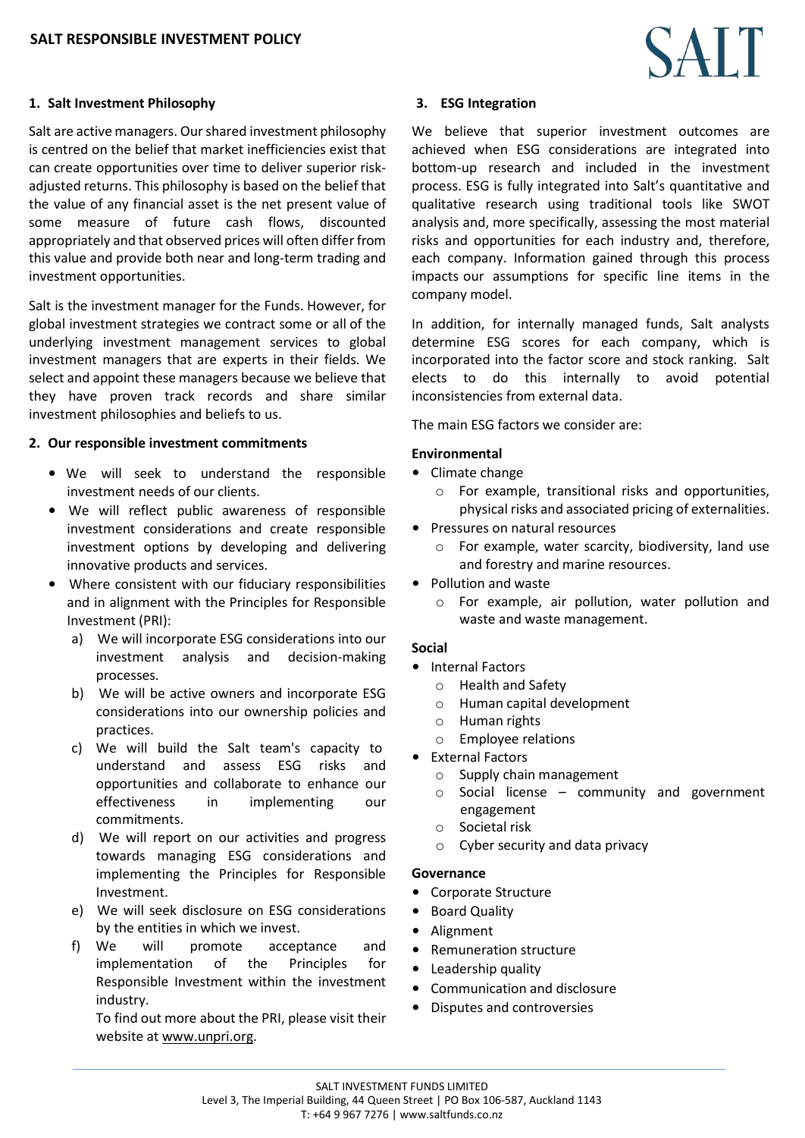# **1. Salt Investment Philosophy**

Salt are active managers. Ourshared investment philosophy is centred on the belief that market inefficiencies exist that can create opportunities over time to deliver superior riskadjusted returns. This philosophy is based on the belief that the value of any financial asset is the net present value of some measure of future cash flows, discounted appropriately and that observed prices will often differ from this value and provide both near and long-term trading and investment opportunities.

Salt is the investment manager for the Funds. However, for global investment strategies we contract some or all of the underlying investment management services to global investment managers that are experts in their fields. We select and appoint these managers because we believe that they have proven track records and share similar investment philosophies and beliefs to us.

#### **2. Our responsible investment commitments**

- We will seek to understand the responsible investment needs of our clients.
- We will reflect public awareness of responsible investment considerations and create responsible investment options by developing and delivering innovative products and services.
- Where consistent with our fiduciary responsibilities and in alignment with the Principles for Responsible Investment (PRI):
	- a) We will incorporate ESG considerations into our investment analysis and decision-making processes.
	- b) We will be active owners and incorporate ESG considerations into our ownership policies and practices.
	- c) We will build the Salt team's capacity to understand and assess ESG risks and opportunities and collaborate to enhance our effectiveness in implementing our commitments.
	- d) We will report on our activities and progress towards managing ESG considerations and implementing the Principles for Responsible Investment.
	- e) We will seek disclosure on ESG considerations by the entities in which we invest.
	- f) We will promote acceptance and implementation of the Principles for Responsible Investment within the investment industry.

To find out more about the PRI, please visit their website at [www.unpri.org.](http://www.unpri.org/)



## **3. ESG Integration**

We believe that superior investment outcomes are achieved when ESG considerations are integrated into bottom-up research and included in the investment process. ESG is fully integrated into Salt's quantitative and qualitative research using traditional tools like SWOT analysis and, more specifically, assessing the most material risks and opportunities for each industry and, therefore, each company. Information gained through this process impacts our assumptions for specific line items in the company model.

In addition, for internally managed funds, Salt analysts determine ESG scores for each company, which is incorporated into the factor score and stock ranking. Salt elects to do this internally to avoid potential inconsistencies from external data.

The main ESG factors we consider are:

# **Environmental**

- Climate change
	- o For example, transitional risks and opportunities, physical risks and associated pricing of externalities.
- Pressures on natural resources
	- o For example, water scarcity, biodiversity, land use and forestry and marine resources.
- Pollution and waste
	- o For example, air pollution, water pollution and waste and waste management.

## **Social**

- Internal Factors
	- o Health and Safety
	- o Human capital development
	- o Human rights
	- o Employee relations
- External Factors
	- o Supply chain management
	- $\circ$  Social license community and government engagement
	- o Societal risk
	- o Cyber security and data privacy

## **Governance**

- Corporate Structure
- Board Quality
- Alignment
- Remuneration structure
- Leadership quality
- Communication and disclosure
- Disputes and controversies